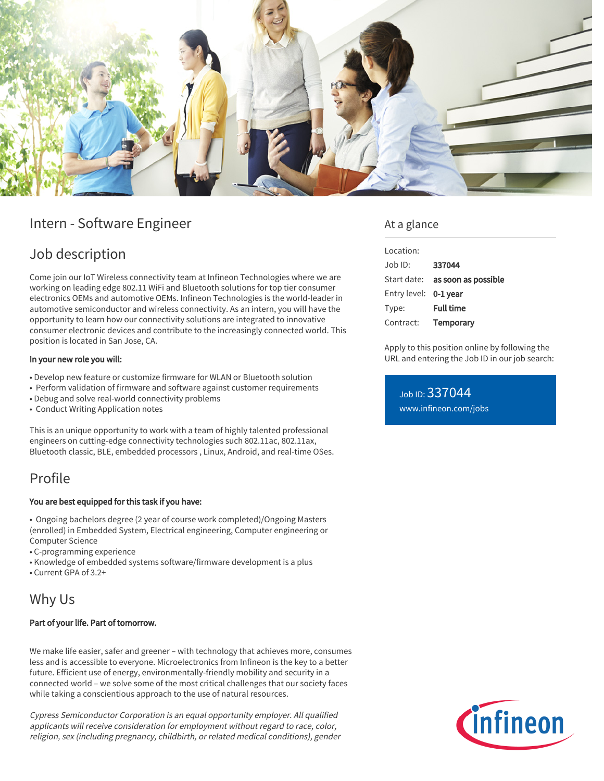

## Intern - Software Engineer

## Job description

Come join our IoT Wireless connectivity team at Infineon Technologies where we are working on leading edge 802.11 WiFi and Bluetooth solutions for top tier consumer electronics OEMs and automotive OEMs. Infineon Technologies is the world-leader in automotive semiconductor and wireless connectivity. As an intern, you will have the opportunity to learn how our connectivity solutions are integrated to innovative consumer electronic devices and contribute to the increasingly connected world. This position is located in San Jose, CA.

#### In your new role you will:

- Develop new feature or customize firmware for WLAN or Bluetooth solution
- Perform validation of firmware and software against customer requirements
- Debug and solve real-world connectivity problems
- Conduct Writing Application notes

This is an unique opportunity to work with a team of highly talented professional engineers on cutting-edge connectivity technologies such 802.11ac, 802.11ax, Bluetooth classic, BLE, embedded processors , Linux, Android, and real-time OSes.

# Profile

#### You are best equipped for this task if you have:

• Ongoing bachelors degree (2 year of course work completed)/Ongoing Masters (enrolled) in Embedded System, Electrical engineering, Computer engineering or Computer Science

- C-programming experience
- Knowledge of embedded systems software/firmware development is a plus
- Current GPA of 3.2+

### Why Us

#### Part of your life. Part of tomorrow.

We make life easier, safer and greener – with technology that achieves more, consumes less and is accessible to everyone. Microelectronics from Infineon is the key to a better future. Efficient use of energy, environmentally-friendly mobility and security in a connected world – we solve some of the most critical challenges that our society faces while taking a conscientious approach to the use of natural resources.

Cypress Semiconductor Corporation is an equal opportunity employer. All qualified applicants will receive consideration for employment without regard to race, color, religion, sex (including pregnancy, childbirth, or related medical conditions), gender

### At a glance

| Location:             |                     |
|-----------------------|---------------------|
| $Joh$ ID:             | 337044              |
| Start date:           | as soon as possible |
| Entry level: 0-1 year |                     |
| Type:                 | <b>Full time</b>    |
| Contract:             | Temporary           |
|                       |                     |

Apply to this position online by following the URL and entering the Job ID in our job search:

Job ID: 337044 [www.infineon.com/jobs](https://www.infineon.com/jobs)